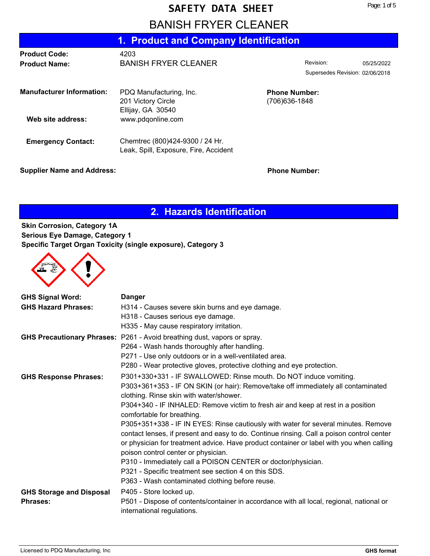#### **SAFETY DATA SHEET**

## **BANISH FRYER CLEANER**

| 1. Product and Company Identification |                                               |                                        |                                 |            |
|---------------------------------------|-----------------------------------------------|----------------------------------------|---------------------------------|------------|
| <b>Product Code:</b>                  | 4203                                          |                                        |                                 |            |
| <b>Product Name:</b>                  | <b>BANISH FRYER CLEANER</b>                   |                                        | Revision:                       | 05/25/2022 |
|                                       |                                               |                                        | Supersedes Revision: 02/06/2018 |            |
| <b>Manufacturer Information:</b>      | PDQ Manufacturing, Inc.<br>201 Victory Circle | <b>Phone Number:</b><br>(706) 636-1848 |                                 |            |
|                                       | Ellijay, GA 30540                             |                                        |                                 |            |
| Web site address:                     | www.pdgonline.com                             |                                        |                                 |            |
| <b>Emergency Contact:</b>             | Chemtrec (800)424-9300 / 24 Hr.               |                                        |                                 |            |
|                                       | Leak, Spill, Exposure, Fire, Accident         |                                        |                                 |            |

#### **Supplier Name and Address: Phone Number: Phone Number:**

### **2. Hazards Identification**

**Skin Corrosion, Category 1A Serious Eye Damage, Category 1 Specific Target Organ Toxicity (single exposure), Category 3**



| <b>GHS Signal Word:</b>         | <b>Danger</b>                                                                             |
|---------------------------------|-------------------------------------------------------------------------------------------|
| <b>GHS Hazard Phrases:</b>      | H314 - Causes severe skin burns and eye damage.                                           |
|                                 | H318 - Causes serious eye damage.                                                         |
|                                 | H335 - May cause respiratory irritation.                                                  |
|                                 | GHS Precautionary Phrases: P261 - Avoid breathing dust, vapors or spray.                  |
|                                 | P264 - Wash hands thoroughly after handling.                                              |
|                                 | P271 - Use only outdoors or in a well-ventilated area.                                    |
|                                 | P280 - Wear protective gloves, protective clothing and eye protection.                    |
| <b>GHS Response Phrases:</b>    | P301+330+331 - IF SWALLOWED: Rinse mouth. Do NOT induce vomiting.                         |
|                                 | P303+361+353 - IF ON SKIN (or hair): Remove/take off immediately all contaminated         |
|                                 | clothing. Rinse skin with water/shower.                                                   |
|                                 | P304+340 - IF INHALED: Remove victim to fresh air and keep at rest in a position          |
|                                 | comfortable for breathing.                                                                |
|                                 | P305+351+338 - IF IN EYES: Rinse cautiously with water for several minutes. Remove        |
|                                 | contact lenses, if present and easy to do. Continue rinsing. Call a poison control center |
|                                 | or physician for treatment advice. Have product container or label with you when calling  |
|                                 | poison control center or physician.                                                       |
|                                 | P310 - Immediately call a POISON CENTER or doctor/physician.                              |
|                                 | P321 - Specific treatment see section 4 on this SDS.                                      |
|                                 | P363 - Wash contaminated clothing before reuse.                                           |
| <b>GHS Storage and Disposal</b> | P405 - Store locked up.                                                                   |
| <b>Phrases:</b>                 | P501 - Dispose of contents/container in accordance with all local, regional, national or  |
|                                 | international regulations.                                                                |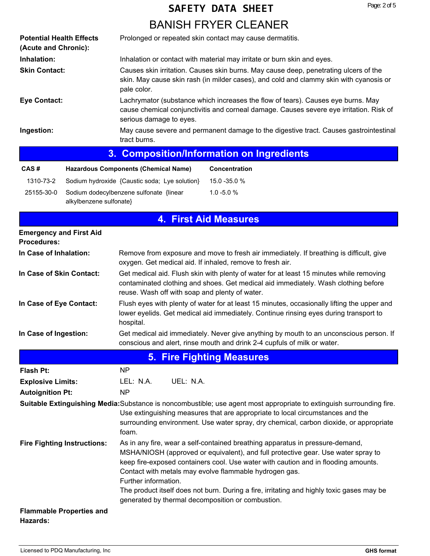# **BANISH FRYER CLEANER SAFETY DATA SHEET**

| <b>Potential Health Effects</b><br>(Acute and Chronic): | Prolonged or repeated skin contact may cause dermatitis.                                                                                                                                                                                                                                                                                                                                                                                                                                     |  |  |
|---------------------------------------------------------|----------------------------------------------------------------------------------------------------------------------------------------------------------------------------------------------------------------------------------------------------------------------------------------------------------------------------------------------------------------------------------------------------------------------------------------------------------------------------------------------|--|--|
| Inhalation:                                             | Inhalation or contact with material may irritate or burn skin and eyes.                                                                                                                                                                                                                                                                                                                                                                                                                      |  |  |
| <b>Skin Contact:</b>                                    | Causes skin irritation. Causes skin burns. May cause deep, penetrating ulcers of the<br>skin. May cause skin rash (in milder cases), and cold and clammy skin with cyanosis or<br>pale color.                                                                                                                                                                                                                                                                                                |  |  |
| <b>Eye Contact:</b>                                     | Lachrymator (substance which increases the flow of tears). Causes eye burns. May<br>cause chemical conjunctivitis and corneal damage. Causes severe eye irritation. Risk of<br>serious damage to eyes.                                                                                                                                                                                                                                                                                       |  |  |
| Ingestion:                                              | May cause severe and permanent damage to the digestive tract. Causes gastrointestinal<br>tract burns.                                                                                                                                                                                                                                                                                                                                                                                        |  |  |
|                                                         | <b>Composition/Information on Ingredients</b><br>3.                                                                                                                                                                                                                                                                                                                                                                                                                                          |  |  |
| CAS#                                                    | <b>Hazardous Components (Chemical Name)</b><br>Concentration                                                                                                                                                                                                                                                                                                                                                                                                                                 |  |  |
| 1310-73-2                                               | Sodium hydroxide {Caustic soda; Lye solution}<br>15.0 - 35.0 %                                                                                                                                                                                                                                                                                                                                                                                                                               |  |  |
| 25155-30-0<br>alkylbenzene sulfonate}                   | Sodium dodecylbenzene sulfonate {linear<br>$1.0 - 5.0 %$                                                                                                                                                                                                                                                                                                                                                                                                                                     |  |  |
|                                                         | <b>4. First Aid Measures</b>                                                                                                                                                                                                                                                                                                                                                                                                                                                                 |  |  |
| <b>Emergency and First Aid</b><br><b>Procedures:</b>    |                                                                                                                                                                                                                                                                                                                                                                                                                                                                                              |  |  |
| In Case of Inhalation:                                  | Remove from exposure and move to fresh air immediately. If breathing is difficult, give<br>oxygen. Get medical aid. If inhaled, remove to fresh air.                                                                                                                                                                                                                                                                                                                                         |  |  |
| In Case of Skin Contact:                                | Get medical aid. Flush skin with plenty of water for at least 15 minutes while removing<br>contaminated clothing and shoes. Get medical aid immediately. Wash clothing before<br>reuse. Wash off with soap and plenty of water.                                                                                                                                                                                                                                                              |  |  |
| In Case of Eye Contact:                                 | Flush eyes with plenty of water for at least 15 minutes, occasionally lifting the upper and<br>lower eyelids. Get medical aid immediately. Continue rinsing eyes during transport to<br>hospital.                                                                                                                                                                                                                                                                                            |  |  |
| In Case of Ingestion:                                   | Get medical aid immediately. Never give anything by mouth to an unconscious person. If<br>conscious and alert, rinse mouth and drink 2-4 cupfuls of milk or water.                                                                                                                                                                                                                                                                                                                           |  |  |
|                                                         | <b>5. Fire Fighting Measures</b>                                                                                                                                                                                                                                                                                                                                                                                                                                                             |  |  |
| <b>Flash Pt:</b>                                        | NP                                                                                                                                                                                                                                                                                                                                                                                                                                                                                           |  |  |
| <b>Explosive Limits:</b>                                | UEL: N.A.<br>LEL: N.A.                                                                                                                                                                                                                                                                                                                                                                                                                                                                       |  |  |
| <b>Autoignition Pt:</b>                                 | <b>NP</b>                                                                                                                                                                                                                                                                                                                                                                                                                                                                                    |  |  |
|                                                         | Suitable Extinguishing Media: Substance is noncombustible; use agent most appropriate to extinguish surrounding fire.<br>Use extinguishing measures that are appropriate to local circumstances and the<br>surrounding environment. Use water spray, dry chemical, carbon dioxide, or appropriate<br>foam.                                                                                                                                                                                   |  |  |
| <b>Fire Fighting Instructions:</b>                      | As in any fire, wear a self-contained breathing apparatus in pressure-demand,<br>MSHA/NIOSH (approved or equivalent), and full protective gear. Use water spray to<br>keep fire-exposed containers cool. Use water with caution and in flooding amounts.<br>Contact with metals may evolve flammable hydrogen gas.<br>Further information.<br>The product itself does not burn. During a fire, irritating and highly toxic gases may be<br>generated by thermal decomposition or combustion. |  |  |
| <b>Flammable Properties and</b><br>Hazards:             |                                                                                                                                                                                                                                                                                                                                                                                                                                                                                              |  |  |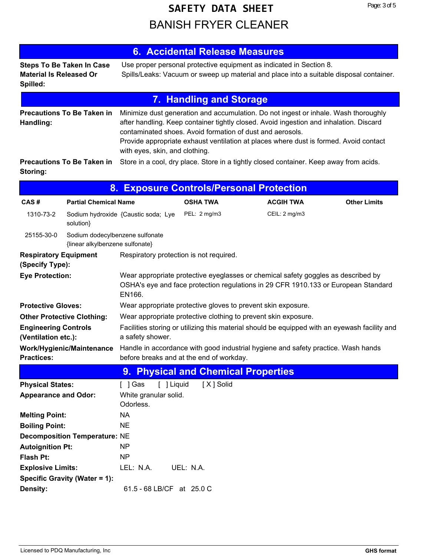# **BANISH FRYER CLEANER SAFETY DATA SHEET**

|                                                                                                                                                                                                                                      | 6. Accidental Release Measures                                                                                                                                                                                                                                                                                                                                        |  |  |
|--------------------------------------------------------------------------------------------------------------------------------------------------------------------------------------------------------------------------------------|-----------------------------------------------------------------------------------------------------------------------------------------------------------------------------------------------------------------------------------------------------------------------------------------------------------------------------------------------------------------------|--|--|
| <b>Steps To Be Taken In Case</b><br><b>Material Is Released Or</b><br>Spilled:                                                                                                                                                       | Use proper personal protective equipment as indicated in Section 8.<br>Spills/Leaks: Vacuum or sweep up material and place into a suitable disposal container.                                                                                                                                                                                                        |  |  |
|                                                                                                                                                                                                                                      | <b>7. Handling and Storage</b>                                                                                                                                                                                                                                                                                                                                        |  |  |
| <b>Precautions To Be Taken in</b><br>Handling:                                                                                                                                                                                       | Minimize dust generation and accumulation. Do not ingest or inhale. Wash thoroughly<br>after handling. Keep container tightly closed. Avoid ingestion and inhalation. Discard<br>contaminated shoes. Avoid formation of dust and aerosols.<br>Provide appropriate exhaust ventilation at places where dust is formed. Avoid contact<br>with eyes, skin, and clothing. |  |  |
| <b>Precautions To Be Taken in</b><br>Storing:                                                                                                                                                                                        | Store in a cool, dry place. Store in a tightly closed container. Keep away from acids.                                                                                                                                                                                                                                                                                |  |  |
| 8. Exposure Controls/Personal Protection                                                                                                                                                                                             |                                                                                                                                                                                                                                                                                                                                                                       |  |  |
| <b>Dental Observator Nicolas Communist Communist Communist Communist Communist Communist Communist Communist Communist Communist Communist Communist Communist Communist Communist Communist Communist Communist Communist Commu</b> | $A + 1 - 1$                                                                                                                                                                                                                                                                                                                                                           |  |  |

| CAS#                                                   | <b>Partial Chemical Name</b>                                       |                                                               | <b>OSHA TWA</b>                                                                                                                                                         | <b>ACGIH TWA</b> | <b>Other Limits</b> |
|--------------------------------------------------------|--------------------------------------------------------------------|---------------------------------------------------------------|-------------------------------------------------------------------------------------------------------------------------------------------------------------------------|------------------|---------------------|
| 1310-73-2                                              | solution}                                                          | Sodium hydroxide {Caustic soda; Lye                           | PEL: 2 mg/m3                                                                                                                                                            | CEIL: 2 mg/m3    |                     |
| 25155-30-0                                             | Sodium dodecylbenzene sulfonate<br>{linear alkylbenzene sulfonate} |                                                               |                                                                                                                                                                         |                  |                     |
| <b>Respiratory Equipment</b><br>(Specify Type):        |                                                                    | Respiratory protection is not required.                       |                                                                                                                                                                         |                  |                     |
| <b>Eye Protection:</b>                                 |                                                                    | EN166.                                                        | Wear appropriate protective eyeglasses or chemical safety goggles as described by<br>OSHA's eye and face protection regulations in 29 CFR 1910.133 or European Standard |                  |                     |
| <b>Protective Gloves:</b>                              |                                                                    |                                                               | Wear appropriate protective gloves to prevent skin exposure.                                                                                                            |                  |                     |
| <b>Other Protective Clothing:</b>                      |                                                                    |                                                               | Wear appropriate protective clothing to prevent skin exposure.                                                                                                          |                  |                     |
| <b>Engineering Controls</b><br>(Ventilation etc.):     |                                                                    | a safety shower.                                              | Facilities storing or utilizing this material should be equipped with an eyewash facility and                                                                           |                  |                     |
| <b>Practices:</b>                                      | Work/Hygienic/Maintenance                                          |                                                               | Handle in accordance with good industrial hygiene and safety practice. Wash hands<br>before breaks and at the end of workday.                                           |                  |                     |
|                                                        |                                                                    |                                                               | 9. Physical and Chemical Properties                                                                                                                                     |                  |                     |
| <b>Physical States:</b><br><b>Appearance and Odor:</b> |                                                                    | $[$ ] Gas<br>[ ] Liquid<br>White granular solid.<br>Odorless. | [X ] Solid                                                                                                                                                              |                  |                     |
| <b>Melting Point:</b>                                  |                                                                    | <b>NA</b>                                                     |                                                                                                                                                                         |                  |                     |
| <b>Boiling Point:</b>                                  |                                                                    | <b>NE</b>                                                     |                                                                                                                                                                         |                  |                     |
|                                                        | <b>Decomposition Temperature: NE</b>                               |                                                               |                                                                                                                                                                         |                  |                     |
| <b>Autoignition Pt:</b>                                |                                                                    | <b>NP</b>                                                     |                                                                                                                                                                         |                  |                     |
| <b>Flash Pt:</b>                                       |                                                                    | <b>NP</b>                                                     |                                                                                                                                                                         |                  |                     |
| <b>Explosive Limits:</b>                               |                                                                    | LEL: N.A.                                                     | UEL: N.A.                                                                                                                                                               |                  |                     |
|                                                        | Specific Gravity (Water = 1):                                      |                                                               |                                                                                                                                                                         |                  |                     |
| Density:                                               |                                                                    | 61.5 - 68 LB/CF at 25.0 C                                     |                                                                                                                                                                         |                  |                     |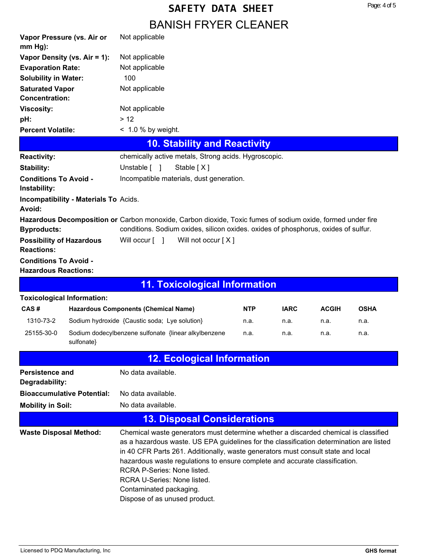# **BANISH FRYER CLEANER SAFETY DATA SHEET**

|                                                                                                                                                                                                                                                                                                                                                                                                                                                                                                              |                                       | DAI VIOLLETTI EITYÖLLÄI VEIT                                                                               |            |             |              |             |
|--------------------------------------------------------------------------------------------------------------------------------------------------------------------------------------------------------------------------------------------------------------------------------------------------------------------------------------------------------------------------------------------------------------------------------------------------------------------------------------------------------------|---------------------------------------|------------------------------------------------------------------------------------------------------------|------------|-------------|--------------|-------------|
|                                                                                                                                                                                                                                                                                                                                                                                                                                                                                                              | Vapor Pressure (vs. Air or            | Not applicable                                                                                             |            |             |              |             |
| $mm Hg$ :                                                                                                                                                                                                                                                                                                                                                                                                                                                                                                    |                                       |                                                                                                            |            |             |              |             |
|                                                                                                                                                                                                                                                                                                                                                                                                                                                                                                              | Vapor Density (vs. Air = 1):          | Not applicable                                                                                             |            |             |              |             |
| <b>Evaporation Rate:</b><br><b>Solubility in Water:</b>                                                                                                                                                                                                                                                                                                                                                                                                                                                      |                                       | Not applicable                                                                                             |            |             |              |             |
| <b>Saturated Vapor</b>                                                                                                                                                                                                                                                                                                                                                                                                                                                                                       |                                       | 100                                                                                                        |            |             |              |             |
| <b>Concentration:</b>                                                                                                                                                                                                                                                                                                                                                                                                                                                                                        |                                       | Not applicable                                                                                             |            |             |              |             |
| <b>Viscosity:</b>                                                                                                                                                                                                                                                                                                                                                                                                                                                                                            |                                       | Not applicable                                                                                             |            |             |              |             |
| pH:                                                                                                                                                                                                                                                                                                                                                                                                                                                                                                          |                                       | > 12                                                                                                       |            |             |              |             |
| <b>Percent Volatile:</b>                                                                                                                                                                                                                                                                                                                                                                                                                                                                                     |                                       | $< 1.0 %$ by weight.                                                                                       |            |             |              |             |
|                                                                                                                                                                                                                                                                                                                                                                                                                                                                                                              |                                       | <b>10. Stability and Reactivity</b>                                                                        |            |             |              |             |
| <b>Reactivity:</b>                                                                                                                                                                                                                                                                                                                                                                                                                                                                                           |                                       | chemically active metals, Strong acids. Hygroscopic.                                                       |            |             |              |             |
| Stability:                                                                                                                                                                                                                                                                                                                                                                                                                                                                                                   |                                       | Unstable [ ]<br>Stable [X]                                                                                 |            |             |              |             |
| <b>Conditions To Avoid -</b>                                                                                                                                                                                                                                                                                                                                                                                                                                                                                 |                                       | Incompatible materials, dust generation.                                                                   |            |             |              |             |
| Instability:                                                                                                                                                                                                                                                                                                                                                                                                                                                                                                 |                                       |                                                                                                            |            |             |              |             |
| Avoid:                                                                                                                                                                                                                                                                                                                                                                                                                                                                                                       | Incompatibility - Materials To Acids. |                                                                                                            |            |             |              |             |
|                                                                                                                                                                                                                                                                                                                                                                                                                                                                                                              |                                       | Hazardous Decomposition or Carbon monoxide, Carbon dioxide, Toxic fumes of sodium oxide, formed under fire |            |             |              |             |
| <b>Byproducts:</b>                                                                                                                                                                                                                                                                                                                                                                                                                                                                                           |                                       | conditions. Sodium oxides, silicon oxides. oxides of phosphorus, oxides of sulfur.                         |            |             |              |             |
| <b>Possibility of Hazardous</b><br><b>Reactions:</b>                                                                                                                                                                                                                                                                                                                                                                                                                                                         |                                       | Will occur [ ]<br>Will not occur $[X]$                                                                     |            |             |              |             |
| <b>Conditions To Avoid -</b>                                                                                                                                                                                                                                                                                                                                                                                                                                                                                 |                                       |                                                                                                            |            |             |              |             |
| <b>Hazardous Reactions:</b>                                                                                                                                                                                                                                                                                                                                                                                                                                                                                  |                                       |                                                                                                            |            |             |              |             |
|                                                                                                                                                                                                                                                                                                                                                                                                                                                                                                              |                                       | <b>11. Toxicological Information</b>                                                                       |            |             |              |             |
|                                                                                                                                                                                                                                                                                                                                                                                                                                                                                                              | <b>Toxicological Information:</b>     |                                                                                                            |            |             |              |             |
| CAS#                                                                                                                                                                                                                                                                                                                                                                                                                                                                                                         |                                       | <b>Hazardous Components (Chemical Name)</b>                                                                | <b>NTP</b> | <b>IARC</b> | <b>ACGIH</b> | <b>OSHA</b> |
| 1310-73-2                                                                                                                                                                                                                                                                                                                                                                                                                                                                                                    |                                       | Sodium hydroxide {Caustic soda; Lye solution}                                                              | n.a.       | n.a.        | n.a.         | n.a.        |
| 25155-30-0                                                                                                                                                                                                                                                                                                                                                                                                                                                                                                   | sulfonate}                            | Sodium dodecylbenzene sulfonate {linear alkylbenzene                                                       | n.a.       | n.a.        | n.a.         | n.a.        |
|                                                                                                                                                                                                                                                                                                                                                                                                                                                                                                              |                                       | <b>12. Ecological Information</b>                                                                          |            |             |              |             |
| Persistence and<br>Degradability:                                                                                                                                                                                                                                                                                                                                                                                                                                                                            |                                       | No data available.                                                                                         |            |             |              |             |
|                                                                                                                                                                                                                                                                                                                                                                                                                                                                                                              | <b>Bioaccumulative Potential:</b>     | No data available.                                                                                         |            |             |              |             |
| <b>Mobility in Soil:</b>                                                                                                                                                                                                                                                                                                                                                                                                                                                                                     |                                       | No data available.                                                                                         |            |             |              |             |
|                                                                                                                                                                                                                                                                                                                                                                                                                                                                                                              |                                       | <b>13. Disposal Considerations</b>                                                                         |            |             |              |             |
| Chemical waste generators must determine whether a discarded chemical is classified<br><b>Waste Disposal Method:</b><br>as a hazardous waste. US EPA guidelines for the classification determination are listed<br>in 40 CFR Parts 261. Additionally, waste generators must consult state and local<br>hazardous waste regulations to ensure complete and accurate classification.<br>RCRA P-Series: None listed.<br>RCRA U-Series: None listed.<br>Contaminated packaging.<br>Dispose of as unused product. |                                       |                                                                                                            |            |             |              |             |